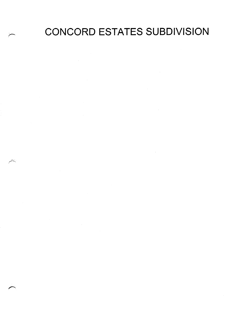CONCORD ESTATES SUBDIVISION

 $\mathcal{L}(\mathcal{L}^{\text{max}}_{\mathcal{L}})$  ,  $\mathcal{L}^{\text{max}}_{\mathcal{L}}$  , and  $\mathcal{L}^{\text{max}}_{\mathcal{L}}$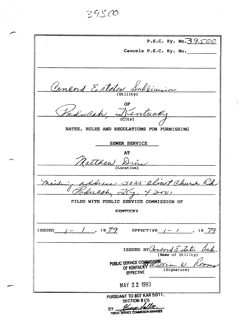$39500$ 

| P.S.C. Ky. No. 39500                                 |  |  |  |  |  |  |
|------------------------------------------------------|--|--|--|--|--|--|
| Cancels P.S.C. Ky. No.                               |  |  |  |  |  |  |
|                                                      |  |  |  |  |  |  |
|                                                      |  |  |  |  |  |  |
|                                                      |  |  |  |  |  |  |
| Concord Estates Sublimin                             |  |  |  |  |  |  |
|                                                      |  |  |  |  |  |  |
|                                                      |  |  |  |  |  |  |
| Podwesh, Tentucky                                    |  |  |  |  |  |  |
|                                                      |  |  |  |  |  |  |
| RATES, RULES AND REGULATIONS FOR FURNISHING          |  |  |  |  |  |  |
| SEWER SERVICE                                        |  |  |  |  |  |  |
| AT                                                   |  |  |  |  |  |  |
| Natthew Drive                                        |  |  |  |  |  |  |
|                                                      |  |  |  |  |  |  |
|                                                      |  |  |  |  |  |  |
| address 3025 Olivet Church Rd                        |  |  |  |  |  |  |
|                                                      |  |  |  |  |  |  |
| FILED WITH PUBLIC SERVICE COMMISSION OF              |  |  |  |  |  |  |
| KENTUCKY                                             |  |  |  |  |  |  |
|                                                      |  |  |  |  |  |  |
| ISSUED $1 - 1 - 1$ 19 79<br>EFFECTIVE $/- /$ , 19 79 |  |  |  |  |  |  |
|                                                      |  |  |  |  |  |  |
| ISSUED BY Concord Estates Auch<br>(Name of Utility)  |  |  |  |  |  |  |
| PUBLIC SERVICE COMMISSION OF KENTUCKY                |  |  |  |  |  |  |
| (Signature)<br><b>EFFECTIVE</b>                      |  |  |  |  |  |  |
|                                                      |  |  |  |  |  |  |
| MAY 22 1993                                          |  |  |  |  |  |  |
| PURSUANT TO 807 KAR 5:011.<br>SECTION 9(1)           |  |  |  |  |  |  |
| BY: George Halle                                     |  |  |  |  |  |  |

PUBLIC SERVICE COMMISSION MANAGER

-

 $\sim$ 

 $\overline{\phantom{1}}$ 

 $\hat{\mathcal{L}}$  $\sim$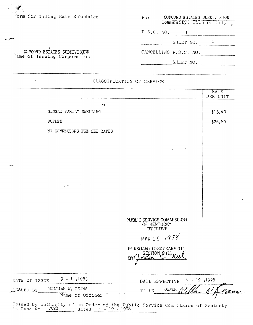| frorm for filing Rate Schedules                            | CONCORD ESTATES SUBDIVISTON<br>For<br>Community, Town or City |
|------------------------------------------------------------|---------------------------------------------------------------|
|                                                            | P.S.C. NO.                                                    |
|                                                            | SHEET NO.                                                     |
| CONCORD ESTATES SUBDIVISION<br>Name of Issuing Corporation | CANCELLING P.S.C. NO.                                         |
|                                                            | SHEET NO.                                                     |

### CLASSIFICATION OF SERVICE

 $\sim 10^{11}$  km

|                  |                             |                                                   | <b>RATE</b><br>PER UNIT |
|------------------|-----------------------------|---------------------------------------------------|-------------------------|
|                  | - 7                         |                                                   |                         |
|                  | SINGLE FAMILY DWELLING      |                                                   | \$13.40                 |
|                  | <b>DUPLEX</b>               |                                                   | \$26.80                 |
|                  | NO CONNECTORS FEE SET RATES |                                                   |                         |
|                  |                             |                                                   |                         |
|                  |                             |                                                   |                         |
|                  |                             |                                                   |                         |
|                  |                             |                                                   |                         |
|                  |                             |                                                   |                         |
|                  |                             |                                                   |                         |
|                  |                             |                                                   |                         |
|                  |                             |                                                   |                         |
|                  |                             | PUBLIC SERVICE COMMISSION<br>OF KENTUCKY          |                         |
|                  |                             | <b>EFFECTIVE</b>                                  |                         |
|                  |                             | MAR 19 $19/978$                                   |                         |
|                  |                             | PURSUANT TO 807 KAR 5:011,<br>SECTION $\beta$ (1) |                         |
|                  |                             | rn<br>BY                                          |                         |
|                  |                             |                                                   |                         |
| DATE OF ISSUE    | $9 - 1$ , 1983              | $4 - 19,1978$<br>DATE EFFECTIVE                   |                         |
| <b>ISSUED BY</b> | WILLIAM W. REAMS            | OWNER<br><b>TITLE</b>                             |                         |
|                  | Name of Officer             |                                                   |                         |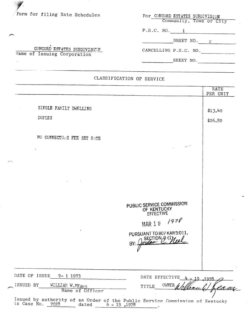| Form for filing Rate Schedules                             | For CONCORD ESTATES SUBDIVISTON<br>Community, Town or City |
|------------------------------------------------------------|------------------------------------------------------------|
|                                                            | P.S.C. NO.                                                 |
|                                                            | SHEET NO. $\overline{2}$                                   |
| CONCORD ESTATES SUBDIVISORN<br>Name of Issuing Corporation | CANCELLING P.S.C. NO.                                      |
|                                                            | SHEET NO.                                                  |

## CLASSIFICATION OF SERVICE

I\_.

**Solution** 

C

|                                                                                                                                             | RATE<br>PER UNIT                                                            |
|---------------------------------------------------------------------------------------------------------------------------------------------|-----------------------------------------------------------------------------|
| SINGLE FAMILY DWELLING<br><b>DUPLEX</b>                                                                                                     | \$13.40<br>\$26.80                                                          |
| NO CONNECTORS FEE SET RATE                                                                                                                  |                                                                             |
|                                                                                                                                             |                                                                             |
|                                                                                                                                             |                                                                             |
|                                                                                                                                             | PUBLIC SERVICE COMMISSION<br>OF KENTUCKY<br><b>EFFECTIVE</b><br>MAR 19 /978 |
|                                                                                                                                             | PURSUANT TO 807 KAR 5:011,<br>SECTION & (1)<br>BY:                          |
|                                                                                                                                             |                                                                             |
| DATE OF ISSUE 9-1 1983<br>ISSUED BY<br>WILLIAM W.REAMS                                                                                      | DATE EFFECTIVE<br><b>OWNER</b><br>${\tt TITLE}$                             |
| Name of Officer<br>Issued by authority of an Order of the Public Service Commission of Kentucky<br>in Case No. $7028$ dated $4 - 19$ , 1978 |                                                                             |

 $\mathcal{L}^{\pm}$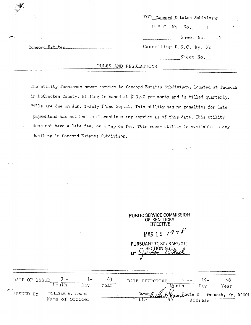| P.S.C. Ky. No.                               |  |
|----------------------------------------------|--|
|                                              |  |
| Sheet No. 3                                  |  |
| Cancelling P.S.C. Ky. No.<br>Concord Estates |  |
| Sheet No.                                    |  |
| RULES AND REGULATIONS                        |  |

The utility furnishes sewer service to Concord Estates Subdivison, located at Faducah in McCracken County. Billing is based at \$13.40 per month and is billed quarterly. Bills are due on Jan. 1-July 1"and Sept.1. This utility has no penalties for late paymentand has not had to discontinue any service as of this date. This utility does not have a late fee, or a tap on fee. This sewer utility is available to any dwelling in Concord Estates Subdivison.

| PUBLIC SERVICE COMMISSION<br>OF KENTUCKY<br><b>EFFECTIVE</b><br>MAR 19 / $978$ |  |
|--------------------------------------------------------------------------------|--|
| PURSUANT TO 807 KAR 5:011,<br>SECTION $9(1)$<br>BY:                            |  |

.

| DATE OF ISSUE . |  |                  | $1 -$ |      | DATE EFFECTIVE                               |       | $4 - 19$ |      |  |
|-----------------|--|------------------|-------|------|----------------------------------------------|-------|----------|------|--|
|                 |  | Month            | Dav   | Year |                                              | Month | Day      | Year |  |
| ISSUED BY       |  | William w. Reams |       |      | Owner Celled Jean Route 2 Paducah, Ky. 4200. |       |          |      |  |
|                 |  | Name of Officer  |       |      |                                              |       | Address  |      |  |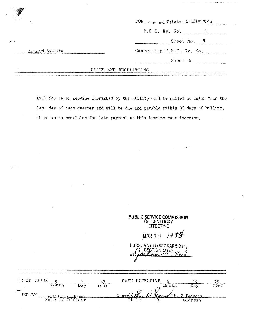|                 |                       | FOR Concord Estates Subdivision |               |
|-----------------|-----------------------|---------------------------------|---------------|
|                 |                       | $P.S.C.$ $Ky.$ $No.$            |               |
|                 |                       |                                 | Sheet No. $4$ |
| Concord Estates |                       | Cancelling P.S.C. Ky. No.       |               |
|                 |                       |                                 | Sheet No.     |
|                 | RULES AND REGULATIONS |                                 |               |

Bill for sewer service furnished by the utility will be mailed no later than the last day of each quarter and will be due and payable within 30 days of billing. There is no penalties for late payment at this time no rate increase.

PUBLIC SERVICE COMMISSION OF KENTUCKY **EFFECTIVE** 

MAR 19 1988

PURSUANT TO 807 KAR 5:011, SECTION 9 SI) BY

| EE OF ISSUE |                                     |      |      | DATE EFFECTIVE                         |       |         |      |
|-------------|-------------------------------------|------|------|----------------------------------------|-------|---------|------|
|             | i∩nt h                              | Dav. | ⊻ear |                                        | Month |         | 'ear |
| ED BY       |                                     |      |      | Ownerfulthouse (c) (comp Rt, 2 Faducah |       |         |      |
|             | William W. Réams<br>Name of Officer |      |      |                                        |       | Address |      |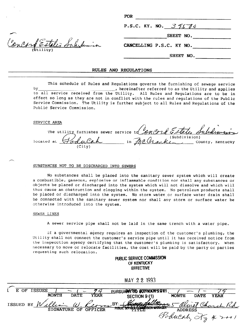|                          | <b>FOR</b>               |
|--------------------------|--------------------------|
|                          | P.S.C. KY. NO. $39500$   |
|                          | SHEET NO.                |
| encord Estates Saludamin | CANCELLING P.S.C. KY NO. |
| $(b$ tility)             | SHEET NO.                |
|                          |                          |

#### RULES AND REGULATIONS

This schedule of Rules and Regulations governs the furnishing of sewage service bY I hereinafter referred to as the Utility and applies to all service received from the Utility. All Rules and Regulations are to be in effect so long as they are not in conflict with the rules and regulations of the Public Service Commission. The Utility is further subject to all Rules and Regulations 'of the Public Service Commission.

#### SERVICE AREA

Soncord Estates A The utility furnishes sewer service  $td$ located at in \_\_ County, Kentucky (City)

#### SUBSTANCES NOT TO BE DISCHARGED INTO SEWERS

No substances shall be placed into the sanitary sewer system which will create a combustible, gaseous, explosive or inflammable condition nor shall any substances or objects be placed or discharged into the system which will not dissolve and which will thus cause an obstruction and clogging within the system. No petroleum products shall be placed or discharged into the system. No storm water or surface water drain shall be connected with the sanitary sewer system nor shall any storm or surface water be otherwise introduced into the system.

#### SEWER LINES

A sewer service pipe shall not be laid in the same trench with a water pipe.

If a governmental'agency requires an inspection of the customer's plumbing, the Utility shall not connect the customer's service pipe until it has received notice from the inspecction agency certifying that the customer's plumbing is satisfactory. When necessary to move or relocate facilities, the cost will be paid by the party or parties requesting such relocation.

> pUBLlC SERVICE COMMlSSlON OF KENTUCKY **EFFECTIVE**

> > MAY 22 1993

| OF<br>F.      | <b>ISSUES</b> |             | a       | PURSUARATIO SUPPRATISOET            |                    |             |                  |
|---------------|---------------|-------------|---------|-------------------------------------|--------------------|-------------|------------------|
|               | <b>MONTH</b>  | <b>DATE</b> | YEAR    | SECTION 9 (1)                       | MONTH              | <b>DATE</b> | <b>YEAR</b>      |
| ISSUED BY $W$ | ellia         | $\omega$    |         | Reom BY Humbers                     |                    |             | Olivet Church Rd |
|               | SIGNATURE OF  |             | OFFICER | PUBLIC SERVICE SUPPORTION MARRIAGED | <b>ADDRESS</b>     |             |                  |
|               |               |             |         |                                     | Poducah, Xy 4 2001 |             |                  |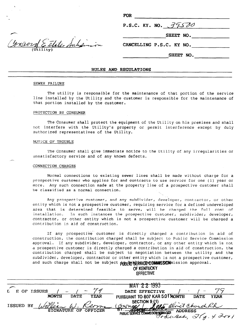|                           | <b>FOR</b>               |
|---------------------------|--------------------------|
|                           | P.S.C. KY. NO. 39500     |
|                           | SHEET NO.                |
| Convery Estates Sulisinon | CANCELLING P.S.C. KY NO. |
|                           | SHEET NO.                |
|                           |                          |

#### RULES AND REGULATIONS

#### SEWER FAILURE

The utility is responsible for the maintenance of that portion of the service line installed by the Utility and the customer is responsible for the maintenance of that portion installed by the customer.

#### PROTECTION BY CONSUMER

The Consumer shall protect the equipment of the Utility on his premises and shall not interfere with the Utility's property or permit interference except by duly authorized representatives of the Utility.

#### NOTICE OF TROUBLE

The Consumer shall give immediate notice to the Utility of any irregularities or unsatisfactory service and of any known defects.

#### CONNECTION CHARGES

Normal connections to existing sewer lines shall be made without charge for a prospective customer who applies for and contracts to use service for one (1) year or  $P^2$  supersisted consider the approach condition constants to and service for one (1) years  $\frac{1}{2}$ 

Any prospective customer, and any subdivider, developer, contractor, or other entity prospective customer, and any subdivide: reveroper, contractor, or or entity which is not a prospective customer, requiring service for a defined undeveloped area that is determined feasible to serve, will be charged the full cost of<br>installation. In such instances the prospective customer, subdivider, developer, In such instances the prospective customer, subdivider, developer, contractor, or other entity which is not a prospective customer will be charged a contribution in aid of construction.

If any prospective- customer is directly charged a contribution in aid of  $\alpha$  contribution in aid of  $\alpha$ It any prospective customer is directly charged a contribution in ald construction, the contribution charged shall be subject to Public Service Commission approval. If any subdivider, developer, contractor, or any other entity which is not a prospective customer is directly charged a contribution in aid of construction, the contribution charged shall be subject to negotiation between the utility and the subdivider, developer, contractor or other entity which is not a prospective customer, and such charge shall not be subject pipped struck commission approval.

# OF KENTUCKY<br>FFFECTIVE

 $\overline{a}$ 

|                                            | MAY 22 1993                                                                                                                                                                                                                                      |
|--------------------------------------------|--------------------------------------------------------------------------------------------------------------------------------------------------------------------------------------------------------------------------------------------------|
| $\mathbf{L}$<br>OF ISSUES<br>E             | DATE EFFECTIVE                                                                                                                                                                                                                                   |
| <b>MONTH</b><br><b>DATE</b><br><b>YEAR</b> | PURSUANT TO 807 KAR 5:0 TMONTH<br><b>DATE</b><br><b>YEAR</b>                                                                                                                                                                                     |
|                                            | SECTION 9.11)                                                                                                                                                                                                                                    |
| ISSUED BY William W. Reome (Gwneal)        | JORS Olivet Church Rd                                                                                                                                                                                                                            |
| <b>SIGNATURE OF OFFICER</b>                | $\pi$ of the state of the state of the state of the state of the state of the state of the state of the state of the state of the state of the state of the state of the state of the state of the state of the state of the s<br><b>ADDRESS</b> |
|                                            | PUBLIC SERVICE COMMISSION WINAGER ADDRESS                                                                                                                                                                                                        |
|                                            |                                                                                                                                                                                                                                                  |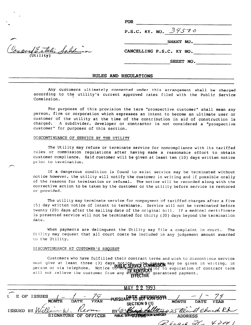$\mathbf{FOR}$ 

P.S.C. KY. NO.  $39570$ 

SHEET NO.

CANCELLING P.S.C. KY NO.

SHEET NO.

#### RULES AND REGULATIONS

Any customers ultimately connected under this arrangement shall be charged according to the utility's current approved rates filed with the Public Service Commission.

For purposes of this provision the term "prospective customer" shall mean any person, firm or corporation which expresses an intent to become an ultimate user or customer of the utility at the time of the contribution in aid of construction is charged. A subdivider, developer or contractor is not considered a "prospective customer" for purposes of this section.

#### DISCONTINUANCE OF SERVICE BY THE UTILITY

The Utility may refuse or terminate service for noncompliance with its tariffed rules or commission regulations after having made a reasonable effort to obtain customer compliance. Said customer will be given at least ten (10) days written notice prior to termination.

If a dangerous condition is found to exist service may be terminated without notice however, the utility will notify the customer in writing and if possible orally of the reasons for termination or refusal. The notice will be recorded along with the corrective action to be taken by the customer or the utility before service is restored or provided.

The utility may terminate service for nonpayment of tariffed charges after a five (5) day written notice of intent to terminate. Service will not be terminated before twenty (20) days after the mailing date of the original bill. If a medical certificate is presented service will not be terminated for thirty (30) days beyond the termination date.

When payments are delinquent the Utility may file a complaint in court. The Utility may request that all court costs be included in any judgement amount awarded to the Utility.

#### DISCONTINUANCE AT CUSTOMER'S REQUEST

Customers who have fulfilled their contract terms and wish to discontinue service must give at least three (3) days notice....The.notices may be given in writing, in person or via telephone. Notice  $p$   $\mathbf{p}$   $\mathbf{p}$   $\mathbf{p}$   $\mathbf{p}$   $\mathbf{p}$   $\mathbf{p}$   $\mathbf{p}$   $\mathbf{p}$   $\mathbf{p}$   $\mathbf{p}$   $\mathbf{p}$   $\mathbf{p}$   $\mathbf{p}$   $\mathbf{p}$   $\mathbf{p}$   $\mathbf{p}$   $\mathbf{p}$   $\mathbf{p}$   $\mathbf{p}$   $\mathbf{p}$   $\mathbf{$ vill not relieve the customer from any **DERENJUCAT** quaranteed payment.

|                                                                                | 1993<br>MΔ.                                                                                                              |
|--------------------------------------------------------------------------------|--------------------------------------------------------------------------------------------------------------------------|
| E OF ISSUES<br><b>MONTH</b><br><b>YEAR</b><br><b>DATE</b><br>ISSUED BY William | PURSUARITTO 867 KART5.07A.<br>MONTH<br>DATE<br><b>YEAR</b><br>SECTION 9 (1)<br>BY: Confrance falle 3025 Olivet Church Rd |
| <b>SIGNATURE OF</b><br>OFFICER                                                 | PUBLIC SERVICE COMMISSION MANAGER<br><b>ADDRESS</b>                                                                      |
|                                                                                | $4$ dod<br>$\mathscr{L}$ began of $\mathscr{L}$                                                                          |

Crown Estate Saldinson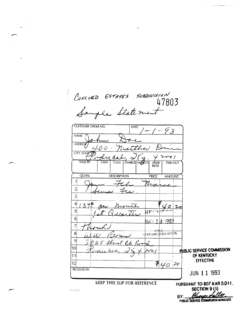CONCORD ESTATES SUBDIVISION<br>47803<br>Sample Statement CUSTOMER ORDER NO. **DATE**  $9.3$ **NAME ADDRESS** Ŀ there O O CITY, STATE  $\mathcal{C}$ CHARGE ON ACT ر ہے۔ **SOLD BY** CASH MDSE<br>RETD  $CO.D.$ PAID OUT QUAN. **DESCRIPTION** PRICE **AMOUNT**  $\mathbf{1}$  $\mathcal{V}_\mathcal{U}$  $2<sup>1</sup>$  $3<sup>1</sup>$  $\left|4\right|$  $3 + 0$  $\circ$  $5<sup>1</sup>$ ₹Ë 6 ଼ା993  $\mathbf{\hat{I}}$ M∆∀  $\overline{7}$ سلمنت **RESEARCH DIVISION**  $\bf{8}$ 9 5 025 alinet  $\overline{\mathcal{L}}$  $10$ **PUBLIC SERVICE COMMISSION** رد OF KENTUCKY 11 **EFFECTIVE**  $40 - 20$  $12$  $\frac{1}{\sqrt{2}}$ **RECEIVED BY JUN 1 1 1993 KEEP THIS SLIP FOR REFERENCE** PURSUANT TO 807 KAR 5:011. SECTION 9 (1) TC 4703

BY: PUBLIC SERVICE COMMISSION MANAGER